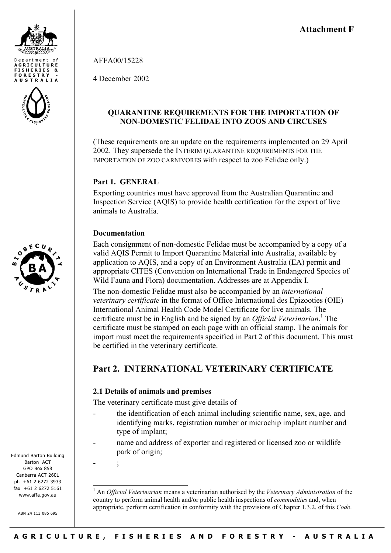

AFFA00/15228

4 December 2002

# **QUARANTINE REQUIREMENTS FOR THE IMPORTATION OF NON-DOMESTIC FELIDAE INTO ZOOS AND CIRCUSES**

(These requirements are an update on the requirements implemented on 29 April 2002. They supersede the INTERIM QUARANTINE REQUIREMENTS FOR THE IMPORTATION OF ZOO CARNIVORES with respect to zoo Felidae only.)

# **Part 1. GENERAL**

Exporting countries must have approval from the Australian Quarantine and Inspection Service (AQIS) to provide health certification for the export of live animals to Australia.

## **Documentation**

Each consignment of non-domestic Felidae must be accompanied by a copy of a valid AQIS Permit to Import Quarantine Material into Australia, available by application to AQIS, and a copy of an Environment Australia (EA) permit and appropriate CITES (Convention on International Trade in Endangered Species of Wild Fauna and Flora) documentation. Addresses are at Appendix I.

The non-domestic Felidae must also be accompanied by an *international veterinary certificate* in the format of Office International des Epizooties (OIE) International Animal Health Code Model Certificate for live animals. The certificate must be in English and be signed by an *Official Veterinarian*. [1](#page-0-0) The certificate must be stamped on each page with an official stamp. The animals for import must meet the requirements specified in Part 2 of this document. This must be certified in the veterinary certificate.

# **Part 2. INTERNATIONAL VETERINARY CERTIFICATE**

## **2.1 Details of animals and premises**

The veterinary certificate must give details of

- the identification of each animal including scientific name, sex, age, and identifying marks, registration number or microchip implant number and type of implant;
- name and address of exporter and registered or licensed zoo or wildlife park of origin;

- ;

l

<span id="page-0-0"></span>1 An *Official Veterinarian* means a veterinarian authorised by the *Veterinary Administration* of the country to perform animal health and/or public health inspections of *commodities* and, when appropriate, perform certification in conformity with the provisions of Chapter 1.3.2. of this *Code*.



**AGRICULTURE ISHERIES &** FORESTRY **AUSTRALIA** 

Edmund Barton Building Barton ACT GPO Box 858 Canberra ACT 2601 ph +61 2 6272 3933 fax +61 2 6272 5161 www.affa.gov.au

ABN 24 113 085 695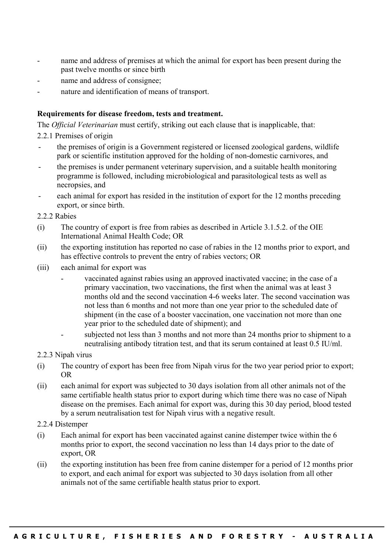- name and address of premises at which the animal for export has been present during the past twelve months or since birth
- name and address of consignee;
- nature and identification of means of transport.

### **Requirements for disease freedom, tests and treatment.**

The *Official Veterinarian* must certify, striking out each clause that is inapplicable, that:

- 2.2.1 Premises of origin
- the premises of origin is a Government registered or licensed zoological gardens, wildlife park or scientific institution approved for the holding of non-domestic carnivores, and
- the premises is under permanent veterinary supervision, and a suitable health monitoring programme is followed, including microbiological and parasitological tests as well as necropsies, and
- each animal for export has resided in the institution of export for the 12 months preceding export, or since birth.

2.2.2 Rabies

- (i) The country of export is free from rabies as described in Article 3.1.5.2. of the OIE International Animal Health Code; OR
- (ii) the exporting institution has reported no case of rabies in the 12 months prior to export, and has effective controls to prevent the entry of rabies vectors; OR
- (iii) each animal for export was
	- vaccinated against rabies using an approved inactivated vaccine; in the case of a primary vaccination, two vaccinations, the first when the animal was at least 3 months old and the second vaccination 4-6 weeks later. The second vaccination was not less than 6 months and not more than one year prior to the scheduled date of shipment (in the case of a booster vaccination, one vaccination not more than one year prior to the scheduled date of shipment); and
	- subjected not less than 3 months and not more than 24 months prior to shipment to a neutralising antibody titration test, and that its serum contained at least 0.5 IU/ml.
- 2.2.3 Nipah virus
- (i) The country of export has been free from Nipah virus for the two year period prior to export; OR
- (ii) each animal for export was subjected to 30 days isolation from all other animals not of the same certifiable health status prior to export during which time there was no case of Nipah disease on the premises. Each animal for export was, during this 30 day period, blood tested by a serum neutralisation test for Nipah virus with a negative result.
- 2.2.4 Distemper
- (i) Each animal for export has been vaccinated against canine distemper twice within the 6 months prior to export, the second vaccination no less than 14 days prior to the date of export, OR
- (ii) the exporting institution has been free from canine distemper for a period of 12 months prior to export, and each animal for export was subjected to 30 days isolation from all other animals not of the same certifiable health status prior to export.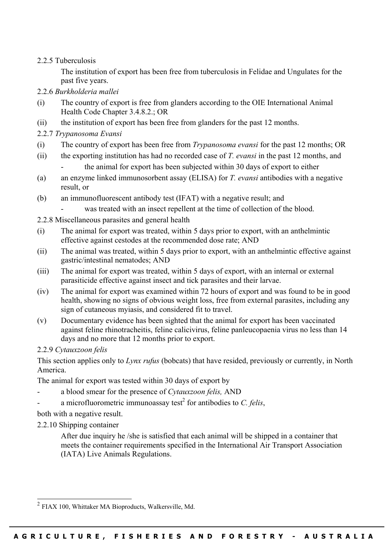## 2.2.5 Tuberculosis

The institution of export has been free from tuberculosis in Felidae and Ungulates for the past five years.

- 2.2.6 *Burkholderia mallei*
- (i) The country of export is free from glanders according to the OIE International Animal Health Code Chapter 3.4.8.2.; OR
- (ii) the institution of export has been free from glanders for the past 12 months.
- 2.2.7 *Trypanosoma Evansi*
- (i) The country of export has been free from *Trypanosoma evansi* for the past 12 months; OR
- (ii) the exporting institution has had no recorded case of *T. evansi* in the past 12 months, and - the animal for export has been subjected within 30 days of export to either
- (a) an enzyme linked immunosorbent assay (ELISA) for *T. evansi* antibodies with a negative result, or
- (b) an immunofluorescent antibody test (IFAT) with a negative result; and
	- was treated with an insect repellent at the time of collection of the blood.
- 2.2.8 Miscellaneous parasites and general health
- (i) The animal for export was treated, within 5 days prior to export, with an anthelmintic effective against cestodes at the recommended dose rate; AND
- (ii) The animal was treated, within 5 days prior to export, with an anthelmintic effective against gastric/intestinal nematodes; AND
- (iii) The animal for export was treated, within 5 days of export, with an internal or external parasiticide effective against insect and tick parasites and their larvae.
- (iv) The animal for export was examined within 72 hours of export and was found to be in good health, showing no signs of obvious weight loss, free from external parasites, including any sign of cutaneous myiasis, and considered fit to travel.
- (v) Documentary evidence has been sighted that the animal for export has been vaccinated against feline rhinotracheitis, feline calicivirus, feline panleucopaenia virus no less than 14 days and no more that 12 months prior to export.

## 2.2.9 *Cytauxzoon felis*

This section applies only to *Lynx rufus* (bobcats) that have resided, previously or currently, in North America.

The animal for export was tested within 30 days of export by

- a blood smear for the presence of *Cytauxzoon felis,* AND
- a microfluorometric immunoassay test<sup>[2](#page-2-0)</sup> for antibodies to *C. felis*,

both with a negative result.

2.2.10 Shipping container

 $\overline{a}$ 

After due inquiry he /she is satisfied that each animal will be shipped in a container that meets the container requirements specified in the International Air Transport Association (IATA) Live Animals Regulations.

<span id="page-2-0"></span> $^{2}$  FIAX 100, Whittaker MA Bioproducts, Walkersville, Md.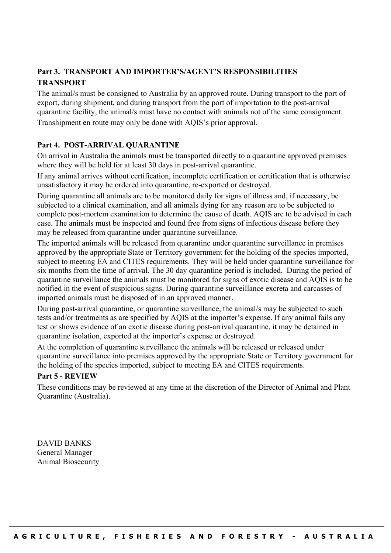# **Part 3. TRANSPORT AND IMPORTER'S/AGENT'S RESPONSIBILITIES TRANSPORT**

The animal/s must be consigned to Australia by an approved route. During transport to the port of export, during shipment, and during transport from the port of importation to the post-arrival quarantine facility, the animal/s must have no contact with animals not of the same consignment.

Transhipment en route may only be done with AQIS's prior approval.

#### **Part 4. POST-ARRIVAL QUARANTINE**

On arrival in Australia the animals must be transported directly to a quarantine approved premises where they will be held for at least 30 days in post-arrival quarantine.

If any animal arrives without certification, incomplete certification or certification that is otherwise unsatisfactory it may be ordered into quarantine, re-exported or destroyed.

During quarantine all animals are to be monitored daily for signs of illness and, if necessary, be subjected to a clinical examination, and all animals dying for any reason are to be subjected to complete post-mortem examination to determine the cause of death. AQIS are to be advised in each case. The animals must be inspected and found free from signs of infectious disease before they may be released from quarantine under quarantine surveillance.

The imported animals will be released from quarantine under quarantine surveillance in premises approved by the appropriate State or Territory government for the holding of the species imported, subject to meeting EA and CITES requirements. They will be held under quarantine surveillance for six months from the time of arrival. The 30 day quarantine period is included. During the period of quarantine surveillance the animals must be monitored for signs of exotic disease and AQIS is to be notified in the event of suspicious signs. During quarantine surveillance excreta and carcasses of imported animals must be disposed of in an approved manner.

During post-arrival quarantine, or quarantine surveillance, the animal/s may be subjected to such tests and/or treatments as are specified by AQIS at the importer's expense. If any animal fails any test or shows evidence of an exotic disease during post-arrival quarantine, it may be detained in quarantine isolation, exported at the importer's expense or destroyed.

At the completion of quarantine surveillance the animals will be released or released under quarantine surveillance into premises approved by the appropriate State or Territory government for the holding of the species imported, subject to meeting EA and CITES requirements.

#### **Part 5 - REVIEW**

These conditions may be reviewed at any time at the discretion of the Director of Animal and Plant Quarantine (Australia).

DAVID BANKS General Manager Animal Biosecurity